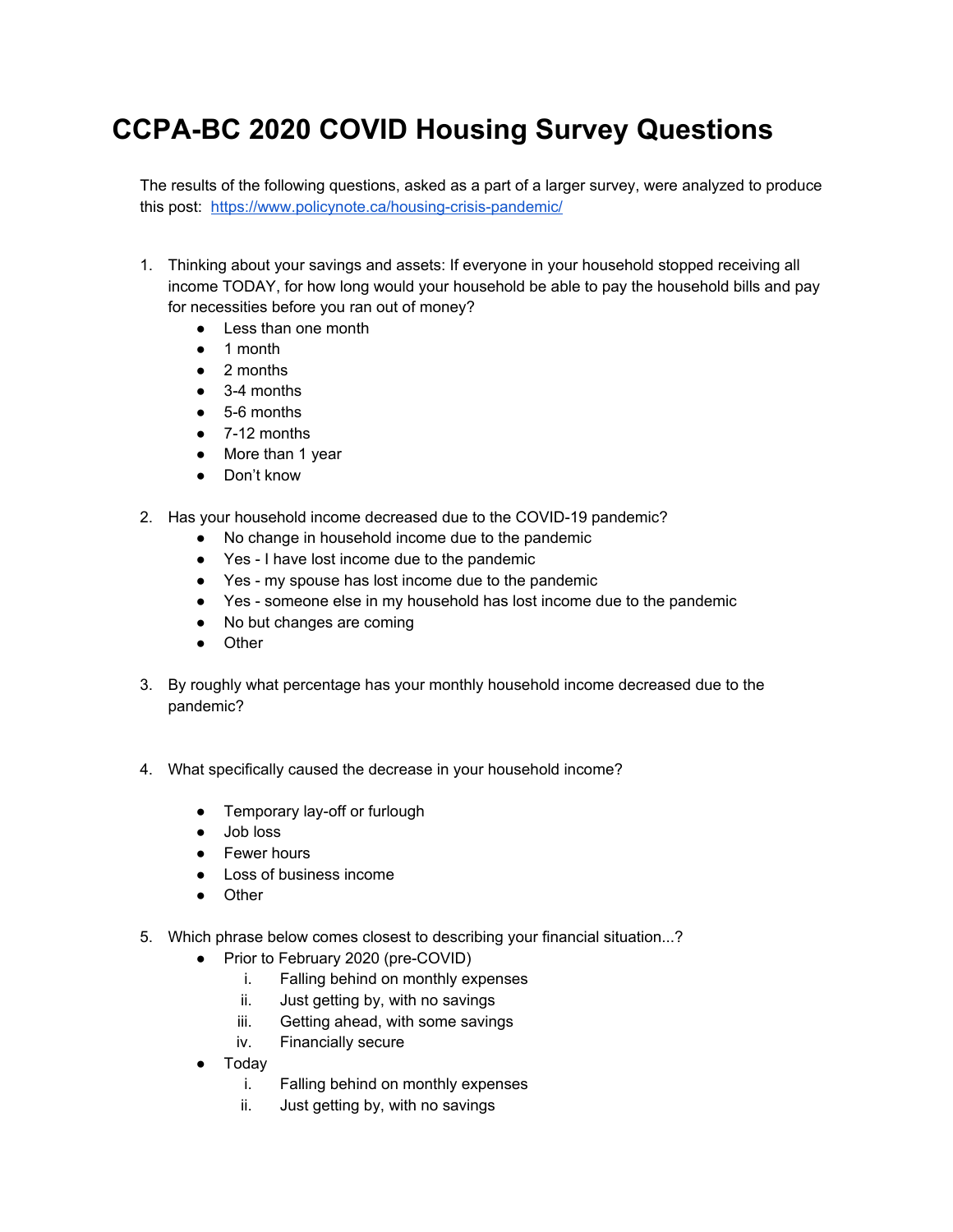## **CCPA-BC 2020 COVID Housing Survey Questions**

The results of the following questions, asked as a part of a larger survey, were analyzed to produce this post: <https://www.policynote.ca/housing-crisis-pandemic/>

- 1. Thinking about your savings and assets: If everyone in your household stopped receiving all income TODAY, for how long would your household be able to pay the household bills and pay for necessities before you ran out of money?
	- Less than one month
	- 1 month
	- 2 months
	- $\bullet$  3-4 months
	- 5-6 months
	- 7-12 months
	- More than 1 year
	- Don't know
- 2. Has your household income decreased due to the COVID-19 pandemic?
	- No change in household income due to the pandemic
	- Yes I have lost income due to the pandemic
	- Yes my spouse has lost income due to the pandemic
	- Yes someone else in my household has lost income due to the pandemic
	- No but changes are coming
	- Other
- 3. By roughly what percentage has your monthly household income decreased due to the pandemic?
- 4. What specifically caused the decrease in your household income?
	- Temporary lay-off or furlough
	- Job loss
	- Fewer hours
	- Loss of business income
	- Other
- 5. Which phrase below comes closest to describing your financial situation...?
	- Prior to February 2020 (pre-COVID)
		- i. Falling behind on monthly expenses
		- ii. Just getting by, with no savings
		- iii. Getting ahead, with some savings
		- iv. Financially secure
	- **Today** 
		- i. Falling behind on monthly expenses
		- ii. Just getting by, with no savings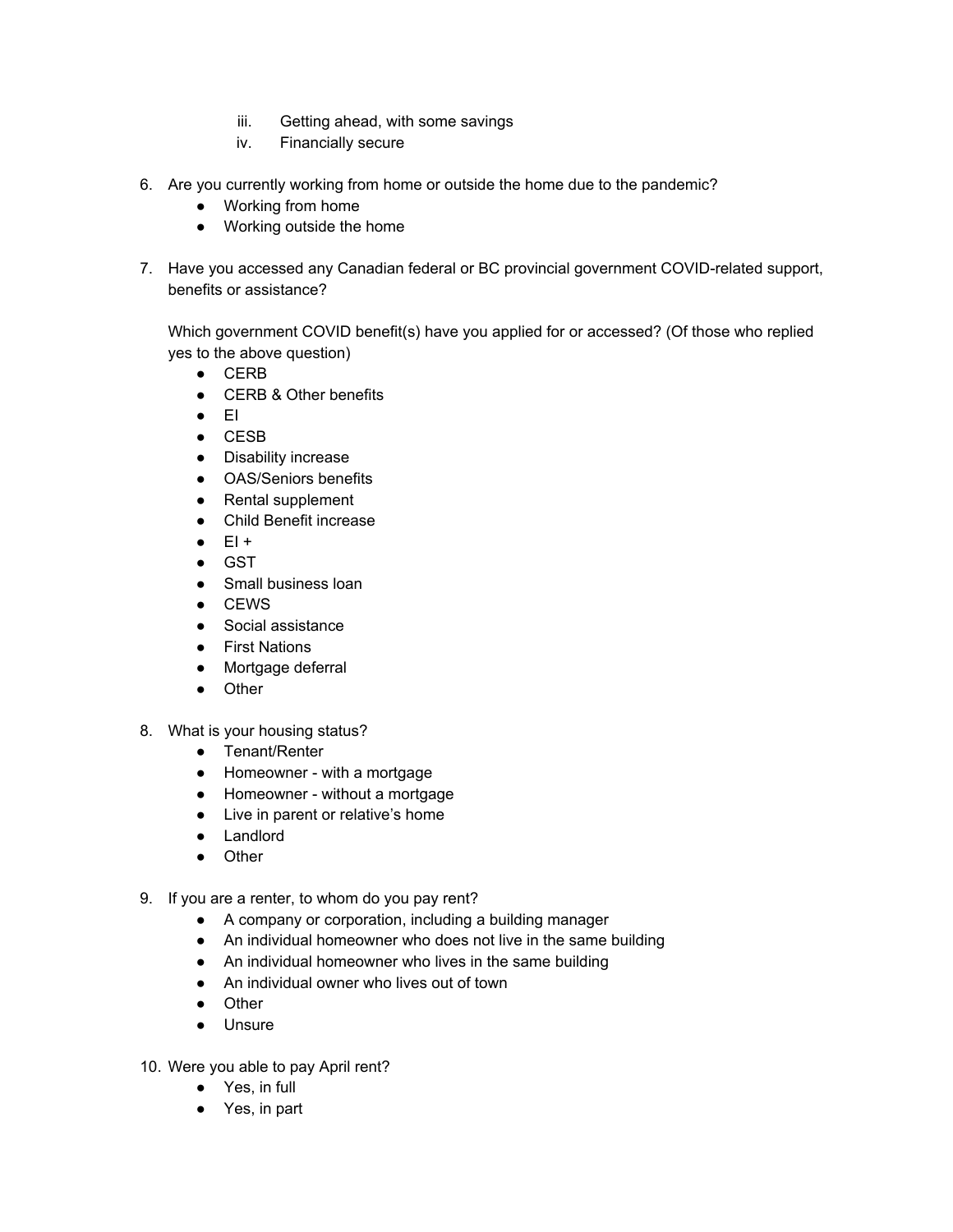- iii. Getting ahead, with some savings
- iv. Financially secure
- 6. Are you currently working from home or outside the home due to the pandemic?
	- Working from home
	- Working outside the home
- 7. Have you accessed any Canadian federal or BC provincial government COVID-related support, benefits or assistance?

Which government COVID benefit(s) have you applied for or accessed? (Of those who replied yes to the above question)

- CERB
- CERB & Other benefits
- EI
- CESB
- Disability increase
- OAS/Seniors benefits
- Rental supplement
- Child Benefit increase
- $\bullet$  EI +
- GST
- Small business loan
- CEWS
- Social assistance
- First Nations
- Mortgage deferral
- Other
- 8. What is your housing status?
	- Tenant/Renter
	- Homeowner with a mortgage
	- Homeowner without a mortgage
	- Live in parent or relative's home
	- Landlord
	- Other
- 9. If you are a renter, to whom do you pay rent?
	- A company or corporation, including a building manager
	- An individual homeowner who does not live in the same building
	- An individual homeowner who lives in the same building
	- An individual owner who lives out of town
	- Other
	- Unsure
- 10. Were you able to pay April rent?
	- Yes, in full
	- Yes, in part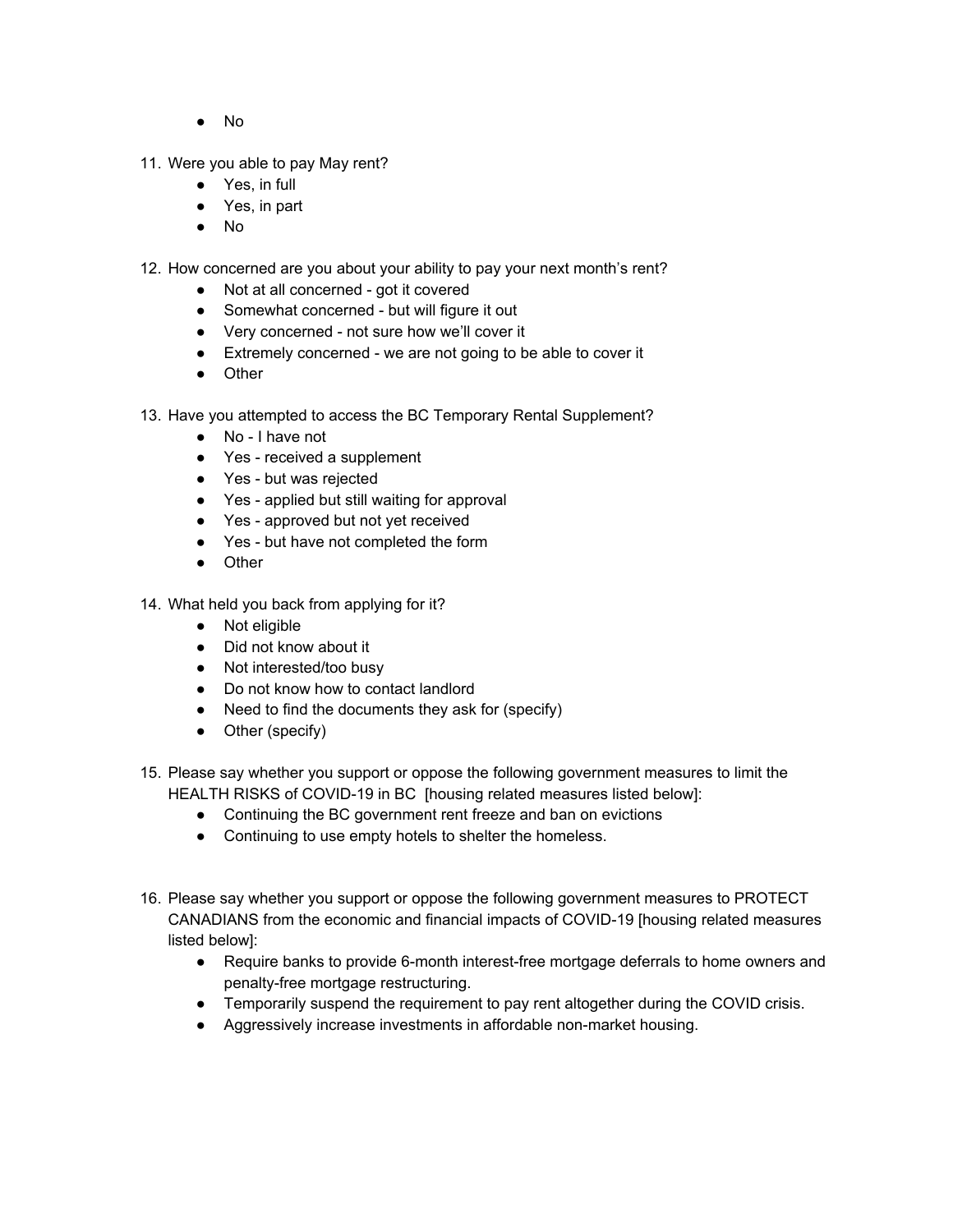- No
- 11. Were you able to pay May rent?
	- Yes, in full
	- Yes, in part
	- No
- 12. How concerned are you about your ability to pay your next month's rent?
	- Not at all concerned got it covered
	- Somewhat concerned but will figure it out
	- Very concerned not sure how we'll cover it
	- Extremely concerned we are not going to be able to cover it
	- Other
- 13. Have you attempted to access the BC Temporary Rental Supplement?
	- No I have not
	- Yes received a supplement
	- Yes but was rejected
	- Yes applied but still waiting for approval
	- Yes approved but not yet received
	- Yes but have not completed the form
	- Other
- 14. What held you back from applying for it?
	- Not eligible
	- Did not know about it
	- Not interested/too busy
	- Do not know how to contact landlord
	- Need to find the documents they ask for (specify)
	- Other (specify)
- 15. Please say whether you support or oppose the following government measures to limit the HEALTH RISKS of COVID-19 in BC [housing related measures listed below]:
	- Continuing the BC government rent freeze and ban on evictions
	- Continuing to use empty hotels to shelter the homeless.
- 16. Please say whether you support or oppose the following government measures to PROTECT CANADIANS from the economic and financial impacts of COVID-19 [housing related measures listed below]:
	- Require banks to provide 6-month interest-free mortgage deferrals to home owners and penalty-free mortgage restructuring.
	- Temporarily suspend the requirement to pay rent altogether during the COVID crisis.
	- Aggressively increase investments in affordable non-market housing.